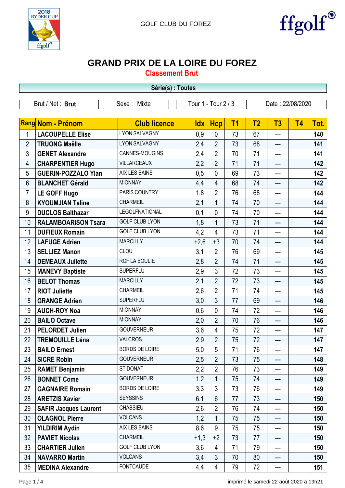



## **GRAND PRIX DE LA LOIRE DU FOREZ**

**Classement Brut**

|                                                        |                              | Série(s) : Toutes     |            |                 |           |                |                  |           |      |  |
|--------------------------------------------------------|------------------------------|-----------------------|------------|-----------------|-----------|----------------|------------------|-----------|------|--|
| Tour 1 - Tour 2 / 3<br>Brut / Net: Brut<br>Sexe: Mixte |                              |                       |            |                 |           |                | Date: 22/08/2020 |           |      |  |
|                                                        |                              |                       |            |                 |           |                |                  |           |      |  |
|                                                        | Rang Nom - Prénom            | <b>Club licence</b>   | <b>Idx</b> | <b>Hcp</b>      | <b>T1</b> | T <sub>2</sub> | T3               | <b>T4</b> | Tot. |  |
| $\mathbf 1$                                            | <b>LACOUPELLE Elise</b>      | <b>LYON SALVAGNY</b>  | 0,9        | $\mathbf{0}$    | 73        | 67             | ---              |           | 140  |  |
| $\overline{2}$                                         | <b>TRUONG Maëlle</b>         | <b>LYON SALVAGNY</b>  | 2,4        | $\overline{2}$  | 73        | 68             | ---              |           | 141  |  |
| 3                                                      | <b>GENET Alexandre</b>       | CANNES-MOUGINS        | 2,4        | $\overline{2}$  | 70        | 71             | ---              |           | 141  |  |
| 4                                                      | <b>CHARPENTIER Hugo</b>      | <b>VILLARCEAUX</b>    | 2,2        | $\overline{2}$  | 71        | 71             | ---              |           | 142  |  |
| 5                                                      | <b>GUERIN-POZZALO Ylan</b>   | AIX LES BAINS         | 0,5        | $\mathbf{0}$    | 69        | 73             | ---              |           | 142  |  |
| 6                                                      | <b>BLANCHET Gérald</b>       | <b>MIONNAY</b>        | 4,4        | $\overline{4}$  | 68        | 74             |                  |           | 142  |  |
| $\overline{7}$                                         | <b>LE GOFF Hugo</b>          | PARIS COUNTRY         | 1,8        | $\overline{2}$  | 76        | 68             | ---              |           | 144  |  |
| 8                                                      | <b>KYOUMJIAN Taline</b>      | <b>CHARMEIL</b>       | 2,1        | $\mathbf{1}$    | 74        | 70             | ---              |           | 144  |  |
| 9                                                      | <b>DUCLOS Balthazar</b>      | <b>LEGOLFNATIONAL</b> | 0,1        | $\mathbf{0}$    | 74        | 70             | ---              |           | 144  |  |
| 10                                                     | <b>RALAMBOARISON Tsara</b>   | <b>GOLF CLUB LYON</b> | 1,8        | $\mathbf{1}$    | 73        | 71             | ---              |           | 144  |  |
| 11                                                     | <b>DUFIEUX Romain</b>        | <b>GOLF CLUB LYON</b> | 4,2        | 4               | 73        | 71             | ---              |           | 144  |  |
| 12                                                     | <b>LAFUGE Adrien</b>         | <b>MARCILLY</b>       | $+2,6$     | $+3$            | 70        | 74             | ---              |           | 144  |  |
| 13                                                     | <b>SELLIEZ Manon</b>         | CLOU                  | 3,1        | $\overline{2}$  | 76        | 69             | ---              |           | 145  |  |
| 14                                                     | <b>DEMEAUX Juliette</b>      | RCF LA BOULIE         | 2,8        | $\overline{2}$  | 74        | 71             | $---$            |           | 145  |  |
| 15                                                     | <b>MANEVY Baptiste</b>       | <b>SUPERFLU</b>       | 2,9        | 3               | 72        | 73             | ---              |           | 145  |  |
| 16                                                     | <b>BELOT Thomas</b>          | <b>MARCILLY</b>       | 2,1        | $\overline{2}$  | 72        | 73             | ---              |           | 145  |  |
| 17                                                     | <b>RIOT Juliette</b>         | CHARMEIL              | 2,6        | $\overline{2}$  | 71        | 74             | ---              |           | 145  |  |
| 18                                                     | <b>GRANGE Adrien</b>         | <b>SUPERFLU</b>       | 3,0        | 3               | 77        | 69             | ---              |           | 146  |  |
| 19                                                     | <b>AUCH-ROY Noa</b>          | <b>MIONNAY</b>        | 0,6        | $\mathbf{0}$    | 74        | 72             | ---              |           | 146  |  |
| 20                                                     | <b>BAILO Octave</b>          | <b>MIONNAY</b>        | 2,0        | $\overline{2}$  | 70        | 76             | ---              |           | 146  |  |
| 21                                                     | <b>PELORDET Julien</b>       | <b>GOUVERNEUR</b>     | 3,6        | 4               | 75        | 72             | ---              |           | 147  |  |
| 22                                                     | <b>TREMOUILLE Léna</b>       | <b>VALCROS</b>        | 2,9        | $\overline{2}$  | 75        | 72             | ---              |           | 147  |  |
| 23                                                     | <b>BAILO Ernest</b>          | <b>BORDS DE LOIRE</b> | 5,0        | 5               | 71        | 76             | ---              |           | 147  |  |
| 24                                                     | <b>SICRE Robin</b>           | <b>GOUVERNEUR</b>     | 2,5        | $\overline{2}$  | 73        | 75             | ---              |           | 148  |  |
| 25                                                     | <b>RAMET Benjamin</b>        | ST DONAT              | 2,2        | $\overline{2}$  | 76        | 73             | ---              |           | 149  |  |
| 26                                                     | <b>BONNET Come</b>           | <b>GOUVERNEUR</b>     | 1,2        | $\mathbf{1}$    | 75        | 74             | ---              |           | 149  |  |
| 27                                                     | <b>GAGNAIRE Romain</b>       | <b>BORDS DE LOIRE</b> | 3,3        | 3               | 73        | 76             | ---              |           | 149  |  |
| 28                                                     | <b>ARETZIS Xavier</b>        | <b>SEYSSINS</b>       | 6,1        | $6\phantom{1}6$ | 77        | 73             | ---              |           | 150  |  |
| 29                                                     | <b>SAFIR Jacques Laurent</b> | <b>CHASSIEU</b>       | 2,6        | $\overline{2}$  | 76        | 74             | ---              |           | 150  |  |
| 30                                                     | <b>OLAGNOL Pierre</b>        | <b>VOLCANS</b>        | 1,2        | 1               | 75        | 75             | ---              |           | 150  |  |
| 31                                                     | <b>YILDIRIM Aydin</b>        | AIX LES BAINS         | 8,6        | 9               | 75        | 75             | ---              |           | 150  |  |
| 32                                                     | <b>PAVIET Nicolas</b>        | CHARMEIL              | $+1,3$     | $+2$            | 73        | 77             | ---              |           | 150  |  |
| 33                                                     | <b>CHARTIER Julien</b>       | <b>GOLF CLUB LYON</b> | 3,6        | $\overline{4}$  | 71        | 79             | ---              |           | 150  |  |
| 34                                                     | <b>NAVARRO Martin</b>        | <b>VOLCANS</b>        | 3,4        | $\mathfrak{Z}$  | 70        | 80             | ---              |           | 150  |  |
| 35                                                     | <b>MEDINA Alexandre</b>      | <b>FONTCAUDE</b>      | 4,4        | 4               | 79        | 72             | ---              |           | 151  |  |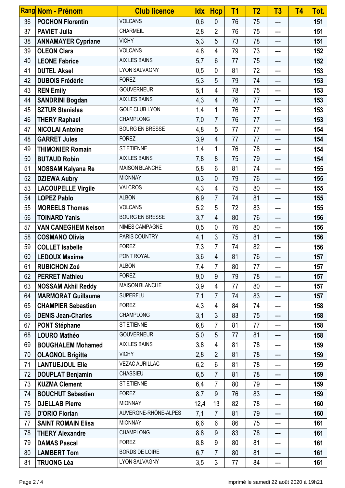|    | Rang Nom - Prénom          | <b>Club licence</b>    | <b>Idx</b> | <b>Hcp</b>     | T <sub>1</sub> | T <sub>2</sub> | T <sub>3</sub> | <b>T4</b> | Tot. |
|----|----------------------------|------------------------|------------|----------------|----------------|----------------|----------------|-----------|------|
| 36 | <b>POCHON Florentin</b>    | <b>VOLCANS</b>         | 0,6        | $\mathbf{0}$   | 76             | 75             | ---            |           | 151  |
| 37 | <b>PAVIET Julia</b>        | CHARMEIL               | 2,8        | $\overline{2}$ | 76             | 75             | ---            |           | 151  |
| 38 | <b>ANNAMAYER Cypriane</b>  | <b>VICHY</b>           | 5,3        | 5              | 73             | 78             | $---$          |           | 151  |
| 39 | <b>OLEON Clara</b>         | <b>VOLCANS</b>         | 4,8        | 4              | 79             | 73             | ---            |           | 152  |
| 40 | <b>LEONE Fabrice</b>       | <b>AIX LES BAINS</b>   | 5,7        | 6              | 77             | 75             | ---            |           | 152  |
| 41 | <b>DUTEL Aksel</b>         | <b>LYON SALVAGNY</b>   | 0,5        | $\mathbf{0}$   | 81             | 72             | ---            |           | 153  |
| 42 | <b>DUBOIS Frédéric</b>     | <b>FOREZ</b>           | 5,3        | 5              | 79             | 74             | ---            |           | 153  |
| 43 | <b>REN Emily</b>           | <b>GOUVERNEUR</b>      | 5,1        | 4              | 78             | 75             | ---            |           | 153  |
| 44 | <b>SANDRINI Bogdan</b>     | <b>AIX LES BAINS</b>   | 4,3        | 4              | 76             | 77             | ---            |           | 153  |
| 45 | <b>SZTUR Stanislas</b>     | <b>GOLF CLUB LYON</b>  | 1,4        | $\mathbf{1}$   | 76             | 77             | ---            |           | 153  |
| 46 | <b>THERY Raphael</b>       | <b>CHAMPLONG</b>       | 7,0        | $\overline{7}$ | 76             | 77             | ---            |           | 153  |
| 47 | <b>NICOLAI Antoine</b>     | <b>BOURG EN BRESSE</b> | 4,8        | 5              | 77             | 77             | ---            |           | 154  |
| 48 | <b>GARRET Jules</b>        | <b>FOREZ</b>           | 3,9        | 4              | 77             | 77             | ---            |           | 154  |
| 49 | <b>THIMONIER Romain</b>    | <b>ST ETIENNE</b>      | 1,4        | 1              | 76             | 78             | ---            |           | 154  |
| 50 | <b>BUTAUD Robin</b>        | <b>AIX LES BAINS</b>   | 7,8        | 8              | 75             | 79             | ---            |           | 154  |
| 51 | <b>NOSSAM Kalyana Re</b>   | <b>MAISON BLANCHE</b>  | 5,8        | 6              | 81             | 74             | ---            |           | 155  |
| 52 | <b>DZIEWA Aubry</b>        | <b>MIONNAY</b>         | 0,3        | $\overline{0}$ | 79             | 76             | ---            |           | 155  |
| 53 | <b>LACOUPELLE Virgile</b>  | <b>VALCROS</b>         | 4,3        | 4              | 75             | 80             | ---            |           | 155  |
| 54 | <b>LOPEZ Pablo</b>         | <b>ALBON</b>           | 6,9        | $\overline{7}$ | 74             | 81             | ---            |           | 155  |
| 55 | <b>MOREELS Thomas</b>      | <b>VOLCANS</b>         | 5,2        | 5              | 72             | 83             | ---            |           | 155  |
| 56 | <b>TOINARD Yanis</b>       | <b>BOURG EN BRESSE</b> | 3,7        | $\overline{4}$ | 80             | 76             | ---            |           | 156  |
| 57 | <b>VAN CANEGHEM Nelson</b> | NIMES CAMPAGNE         | 0,5        | $\mathbf{0}$   | 76             | 80             | ---            |           | 156  |
| 58 | <b>COSMANO Olivia</b>      | PARIS COUNTRY          | 4,1        | 3              | 75             | 81             | ---            |           | 156  |
| 59 | <b>COLLET Isabelle</b>     | <b>FOREZ</b>           | 7,3        | $\overline{7}$ | 74             | 82             | ---            |           | 156  |
| 60 | <b>LEDOUX Maxime</b>       | PONT ROYAL             | 3,6        | $\overline{4}$ | 81             | 76             | ---            |           | 157  |
| 61 | <b>RUBICHON Zoé</b>        | <b>ALBON</b>           | 7,4        | $\overline{7}$ | 80             | 77             | ---            |           | 157  |
| 62 | <b>PERRET Mathieu</b>      | <b>FOREZ</b>           | 9,0        | 9              | 79             | 78             | ---            |           | 157  |
| 63 | <b>NOSSAM Akhil Reddy</b>  | <b>MAISON BLANCHE</b>  | 3,9        | 4              | 77             | 80             | ---            |           | 157  |
| 64 | <b>MARMORAT Guillaume</b>  | <b>SUPERFLU</b>        | 7,1        | $\overline{7}$ | 74             | 83             | ---            |           | 157  |
| 65 | <b>CHAMPIER Sebastien</b>  | <b>FOREZ</b>           | 4,3        | 4              | 84             | 74             | ---            |           | 158  |
| 66 | <b>DENIS Jean-Charles</b>  | <b>CHAMPLONG</b>       | 3,1        | $\mathfrak{Z}$ | 83             | 75             | ---            |           | 158  |
| 67 | <b>PONT Stéphane</b>       | <b>ST ETIENNE</b>      | 6,8        | $\overline{7}$ | 81             | 77             | ---            |           | 158  |
| 68 | <b>LOURO Mathéo</b>        | <b>GOUVERNEUR</b>      | 5,0        | 5              | 77             | 81             | ---            |           | 158  |
| 69 | <b>BOUGHALEM Mohamed</b>   | AIX LES BAINS          | 3,8        | 4              | 81             | 78             | ---            |           | 159  |
| 70 | <b>OLAGNOL Brigitte</b>    | <b>VICHY</b>           | 2,8        | $\overline{2}$ | 81             | 78             | ---            |           | 159  |
| 71 | <b>LANTUEJOUL Elie</b>     | <b>VEZAC AURILLAC</b>  | 6,2        | $6\phantom{1}$ | 81             | 78             | ---            |           | 159  |
| 72 | <b>DOUPLAT Benjamin</b>    | CHASSIEU               | 6,5        | $\overline{7}$ | 81             | 78             | ---            |           | 159  |
| 73 | <b>KUZMA Clement</b>       | ST ETIENNE             | 6,4        | $\overline{7}$ | 80             | 79             | ---            |           | 159  |
| 74 | <b>BOUCHUT Sebastien</b>   | <b>FOREZ</b>           | 8,7        | 9              | 76             | 83             | ---            |           | 159  |
| 75 | <b>DJELLAB Pierre</b>      | <b>MIONNAY</b>         | 12,4       | 13             | 82             | 78             | ---            |           | 160  |
| 76 | <b>D'ORIO Florian</b>      | AUVERGNE-RHÔNE-ALPES   | 7,1        | $\overline{7}$ | 81             | 79             | ---            |           | 160  |
| 77 | <b>SAINT ROMAIN Elisa</b>  | <b>MIONNAY</b>         | 6,6        | 6              | 86             | 75             | ---            |           | 161  |
| 78 | <b>THERY Alexandre</b>     | <b>CHAMPLONG</b>       | 8,8        | 9              | 83             | 78             | ---            |           | 161  |
| 79 | <b>DAMAS Pascal</b>        | <b>FOREZ</b>           | 8,8        | 9              | 80             | 81             | ---            |           | 161  |
| 80 | <b>LAMBERT Tom</b>         | <b>BORDS DE LOIRE</b>  | 6,7        | $\overline{7}$ | 80             | 81             | ---            |           | 161  |
| 81 | <b>TRUONG Léa</b>          | <b>LYON SALVAGNY</b>   | 3,5        | 3              | 77             | 84             | ---            |           | 161  |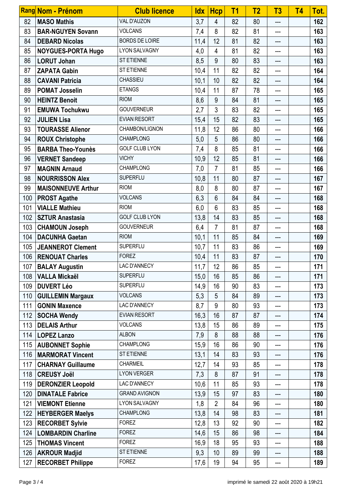|     | Rang Nom - Prénom         | <b>Club licence</b>   | <b>Idx</b> | <b>Hcp</b>     | T <sub>1</sub> | T <sub>2</sub> | T <sub>3</sub> | <b>T4</b> | Tot. |
|-----|---------------------------|-----------------------|------------|----------------|----------------|----------------|----------------|-----------|------|
| 82  | <b>MASO Mathis</b>        | VAL D'AUZON           | 3,7        | 4              | 82             | 80             | ---            |           | 162  |
| 83  | <b>BAR-NGUYEN Sovann</b>  | <b>VOLCANS</b>        | 7,4        | 8              | 82             | 81             | ---            |           | 163  |
| 84  | <b>DEBARD Nicolas</b>     | <b>BORDS DE LOIRE</b> | 11,4       | 12             | 81             | 82             | ---            |           | 163  |
| 85  | <b>NOYGUES-PORTA Hugo</b> | <b>LYON SALVAGNY</b>  | 4,0        | 4              | 81             | 82             | ---            |           | 163  |
| 86  | <b>LORUT Johan</b>        | ST ETIENNE            | 8,5        | 9              | 80             | 83             | ---            |           | 163  |
| 87  | <b>ZAPATA Gabin</b>       | <b>ST ETIENNE</b>     | 10,4       | 11             | 82             | 82             | ---            |           | 164  |
| 88  | <b>CAVANI Patricia</b>    | <b>CHASSIEU</b>       | 10,1       | 10             | 82             | 82             | ---            |           | 164  |
| 89  | <b>POMAT Josselin</b>     | <b>ETANGS</b>         | 10,4       | 11             | 87             | 78             | ---            |           | 165  |
| 90  | <b>HEINTZ Benoit</b>      | <b>RIOM</b>           | 8,6        | 9              | 84             | 81             | ---            |           | 165  |
| 91  | <b>EMUWA Tochukwu</b>     | <b>GOUVERNEUR</b>     | 2,7        | 3              | 83             | 82             | ---            |           | 165  |
| 92  | <b>JULIEN Lisa</b>        | <b>EVIAN RESORT</b>   | 15,4       | 15             | 82             | 83             | ---            |           | 165  |
| 93  | <b>TOURASSE Alienor</b>   | CHAMBON/LIGNON        | 11,8       | 12             | 86             | 80             | ---            |           | 166  |
| 94  | <b>ROUX Christophe</b>    | <b>CHAMPLONG</b>      | 5,0        | 5              | 86             | 80             | ---            |           | 166  |
| 95  | <b>BARBA Theo-Younès</b>  | <b>GOLF CLUB LYON</b> | 7,4        | 8              | 85             | 81             | ---            |           | 166  |
| 96  | <b>VERNET Sandeep</b>     | <b>VICHY</b>          | 10,9       | 12             | 85             | 81             | $---$          |           | 166  |
| 97  | <b>MAGNIN Arnaud</b>      | <b>CHAMPLONG</b>      | 7,0        | $\overline{7}$ | 81             | 85             | ---            |           | 166  |
| 98  | <b>NOURRISSON Alex</b>    | <b>SUPERFLU</b>       | 10,8       | 11             | 80             | 87             | ---            |           | 167  |
| 99  | <b>MAISONNEUVE Arthur</b> | <b>RIOM</b>           | 8,0        | 8              | 80             | 87             | ---            |           | 167  |
| 100 | <b>PROST Agathe</b>       | <b>VOLCANS</b>        | 6,3        | 6              | 84             | 84             | $---$          |           | 168  |
| 101 | <b>VIALLE Mathieu</b>     | <b>RIOM</b>           | 6,0        | 6              | 83             | 85             | ---            |           | 168  |
| 102 | <b>SZTUR Anastasia</b>    | <b>GOLF CLUB LYON</b> | 13,8       | 14             | 83             | 85             | ---            |           | 168  |
| 103 | <b>CHAMOUN Joseph</b>     | <b>GOUVERNEUR</b>     | 6,4        | $\overline{7}$ | 81             | 87             | ---            |           | 168  |
| 104 | <b>DACUNHA Gaetan</b>     | <b>RIOM</b>           | 10,1       | 11             | 85             | 84             | ---            |           | 169  |
| 105 | <b>JEANNEROT Clement</b>  | <b>SUPERFLU</b>       | 10,7       | 11             | 83             | 86             | ---            |           | 169  |
| 106 | <b>RENOUAT Charles</b>    | <b>FOREZ</b>          | 10,4       | 11             | 83             | 87             | ---            |           | 170  |
| 107 | <b>BALAY Augustin</b>     | LAC D'ANNECY          | 11,7       | 12             | 86             | 85             | ---            |           | 171  |
| 108 | <b>VALLA Mickaël</b>      | <b>SUPERFLU</b>       | 15,0       | 16             | 85             | 86             | ---            |           | 171  |
| 109 | <b>DUVERT Léo</b>         | <b>SUPERFLU</b>       | 14,9       | 16             | 90             | 83             | ---            |           | 173  |
| 110 | <b>GUILLEMIN Margaux</b>  | <b>VOLCANS</b>        | 5,3        | 5              | 84             | 89             | ---            |           | 173  |
| 111 | <b>GONIN Maxence</b>      | LAC D'ANNECY          | 8,7        | 9              | 80             | 93             | ---            |           | 173  |
| 112 | <b>SOCHA Wendy</b>        | <b>EVIAN RESORT</b>   | 16,3       | 16             | 87             | 87             | ---            |           | 174  |
| 113 | <b>DELAIS Arthur</b>      | <b>VOLCANS</b>        | 13,8       | 15             | 86             | 89             | ---            |           | 175  |
| 114 | <b>LOPEZ Lanzo</b>        | <b>ALBON</b>          | 7,9        | 8              | 88             | 88             |                |           | 176  |
| 115 | <b>AUBONNET Sophie</b>    | <b>CHAMPLONG</b>      | 15,9       | 16             | 86             | 90             | ---            |           | 176  |
| 116 | <b>MARMORAT Vincent</b>   | ST ETIENNE            | 13,1       | 14             | 83             | 93             | ---            |           | 176  |
| 117 | <b>CHARNAY Guillaume</b>  | CHARMEIL              | 12,7       | 14             | 93             | 85             | ---            |           | 178  |
| 118 | <b>CREUSY Joël</b>        | <b>LYON VERGER</b>    | 7,3        | 8              | 87             | 91             | ---            |           | 178  |
| 119 | <b>DERONZIER Leopold</b>  | LAC D'ANNECY          | 10,6       | 11             | 85             | 93             | ---            |           | 178  |
| 120 | <b>DINATALE Fabrice</b>   | <b>GRAND AVIGNON</b>  | 13,9       | 15             | 97             | 83             | ---            |           | 180  |
| 121 | <b>VIEMONT Etienne</b>    | LYON SALVAGNY         | 1,8        | $\overline{2}$ | 84             | 96             | ---            |           | 180  |
| 122 | <b>HEYBERGER Maelys</b>   | <b>CHAMPLONG</b>      | 13,8       | 14             | 98             | 83             | ---            |           | 181  |
| 123 | <b>RECORBET Sylvie</b>    | <b>FOREZ</b>          | 12,8       | 13             | 92             | 90             | ---            |           | 182  |
| 124 | <b>LOMBARDIN Charline</b> | <b>FOREZ</b>          | 14,6       | 15             | 86             | 98             | ---            |           | 184  |
| 125 | <b>THOMAS Vincent</b>     | <b>FOREZ</b>          | 16,9       | 18             | 95             | 93             | ---            |           | 188  |
| 126 | <b>AKROUR Madjid</b>      | <b>ST ETIENNE</b>     | 9,3        | 10             | 89             | 99             | ---            |           | 188  |
| 127 | <b>RECORBET Philippe</b>  | <b>FOREZ</b>          | 17,6       | 19             | 94             | 95             | ---            |           | 189  |